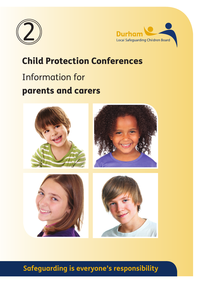



# Child Protection Conferences

# Information for parents and carers



# **Safeguarding is everyone's responsibility**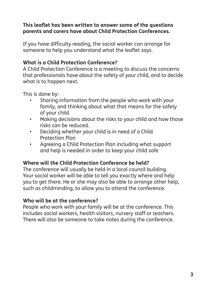# **This leaflet has been written to answer some of the questions parents and carers have about Child Protection Conferences.**

If you have difficulty reading, the social worker can arrange for someone to help you understand what the leaflet says.

# **What is a Child Protection Conference?**

A Child Protection Conference is a meeting to discuss the concerns that professionals have about the safety of your child, and to decide what is to happen next.

This is done by:

- Sharing information from the people who work with your family, and thinking about what that means for the safety of your child
- Making decisions about the risks to your child and how those risks can be reduced.
- Deciding whether your child is in need of a Child Protection Plan
- Agreeing a Child Protection Plan including what support and help is needed in order to keep your child safe

# **Where will the Child Protection Conference be held?**

The conference will usually be held in a local council building. Your social worker will be able to tell you exactly where and help you to get there. He or she may also be able to arrange other help, such as childminding, to allow you to attend the conference.

# **Who will be at the conference?**

People who work with your family will be at the conference. This includes social workers, health visitors, nursery staff or teachers. There will also be someone to take notes during the conference.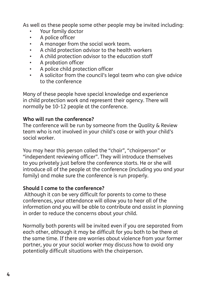As well as these people some other people may be invited including:

- Your family doctor
- A police officer
- A manager from the social work team.
- A child protection advisor to the health workers
- A child protection advisor to the education staff
- A probation officer
- A police child protection officer
- A solicitor from the council's legal team who can give advice to the conference

Many of these people have special knowledge and experience in child protection work and represent their agency. There will normally be 10-12 people at the conference.

#### **Who will run the conference?**

The conference will be run by someone from the Quality & Review team who is not involved in your child's case or with your child's social worker.

You may hear this person called the "chair", "chairperson" or "independent reviewing officer". They will introduce themselves to you privately just before the conference starts. He or she will introduce all of the people at the conference (including you and your family) and make sure the conference is run properly.

#### **Should I come to the conference?**

 Although it can be very difficult for parents to come to these conferences, your attendance will allow you to hear all of the information and you will be able to contribute and assist in planning in order to reduce the concerns about your child.

Normally both parents will be invited even if you are separated from each other, although it may be difficult for you both to be there at the same time. If there are worries about violence from your former partner, you or your social worker may discuss how to avoid any potentially difficult situations with the chairperson.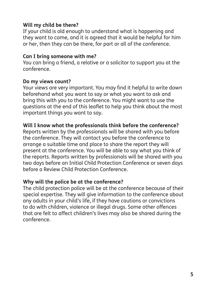# **Will my child be there?**

If your child is old enough to understand what is happening and they want to come, and it is agreed that it would be helpful for him or her, then they can be there, for part or all of the conference.

#### **Can I bring someone with me?**

You can bring a friend, a relative or a solicitor to support you at the conference.

#### **Do my views count?**

Your views are very important. You may find it helpful to write down beforehand what you want to say or what you want to ask and bring this with you to the conference. You might want to use the questions at the end of this leaflet to help you think about the most important things you want to say.

#### **Will I know what the professionals think before the conference?**

Reports written by the professionals will be shared with you before the conference. They will contact you before the conference to arrange a suitable time and place to share the report they will present at the conference. You will be able to say what you think of the reports. Reports written by professionals will be shared with you two days before an Initial Child Protection Conference or seven days before a Review Child Protection Conference.

#### **Why will the police be at the conference?**

The child protection police will be at the conference because of their special expertise. They will give information to the conference about any adults in your child's life, if they have cautions or convictions to do with children, violence or illegal drugs. Some other offences that are felt to affect children's lives may also be shared during the conference.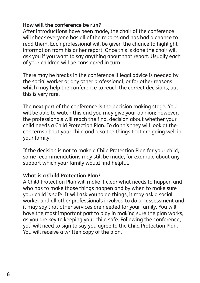#### **How will the conference be run?**

After introductions have been made, the chair of the conference will check everyone has all of the reports and has had a chance to read them. Each professional will be given the chance to highlight information from his or her report. Once this is done the chair will ask you if you want to say anything about that report. Usually each of your children will be considered in turn.

There may be breaks in the conference if legal advice is needed by the social worker or any other professional, or for other reasons which may help the conference to reach the correct decisions, but this is very rare.

The next part of the conference is the decision making stage. You will be able to watch this and you may give your opinion; however, the professionals will reach the final decision about whether your child needs a Child Protection Plan. To do this they will look at the concerns about your child and also the things that are going well in your family.

If the decision is not to make a Child Protection Plan for your child, some recommendations may still be made, for example about any support which your family would find helpful.

#### **What is a Child Protection Plan?**

A Child Protection Plan will make it clear what needs to happen and who has to make those things happen and by when to make sure your child is safe. It will ask you to do things, it may ask a social worker and all other professionals involved to do an assessment and it may say that other services are needed for your family. You will have the most important part to play in making sure the plan works, as you are key to keeping your child safe. Following the conference, you will need to sign to say you agree to the Child Protection Plan. You will receive a written copy of the plan.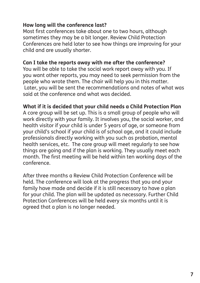## **How long will the conference last?**

Most first conferences take about one to two hours, although sometimes they may be a bit longer. Review Child Protection Conferences are held later to see how things are improving for your child and are usually shorter.

#### **Can I take the reports away with me after the conference?**

You will be able to take the social work report away with you. If you want other reports, you may need to seek permission from the people who wrote them. The chair will help you in this matter. Later, you will be sent the recommendations and notes of what was said at the conference and what was decided.

#### **What if it is decided that your child needs a Child Protection Plan**

A core group will be set up. This is a small group of people who will work directly with your family. It involves you, the social worker, and health visitor if your child is under 5 years of age, or someone from your child's school if your child is of school age, and it could include professionals directly working with you such as probation, mental health services, etc. The core group will meet regularly to see how things are going and if the plan is working. They usually meet each month. The first meeting will be held within ten working days of the conference.

After three months a Review Child Protection Conference will be held. The conference will look at the progress that you and your family have made and decide if it is still necessary to have a plan for your child. The plan will be updated as necessary. Further Child Protection Conferences will be held every six months until it is agreed that a plan is no longer needed.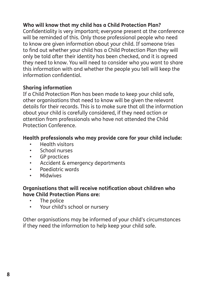# **Who will know that my child has a Child Protection Plan?**

Confidentiality is very important; everyone present at the conference will be reminded of this. Only those professional people who need to know are given information about your child. If someone tries to find out whether your child has a Child Protection Plan they will only be told after their identity has been checked, and it is agreed they need to know. You will need to consider who you want to share this information with and whether the people you tell will keep the information confidential.

# **Sharing information**

If a Child Protection Plan has been made to keep your child safe, other organisations that need to know will be given the relevant details for their records. This is to make sure that all the information about your child is carefully considered, if they need action or attention from professionals who have not attended the Child Protection Conference.

# **Health professionals who may provide care for your child include:**

- Health visitors
- School nurses
- GP practices
- Accident & emergency departments
- Paediatric wards
- Midwives

#### **Organisations that will receive notification about children who have Child Protection Plans are:**

- The police
- Your child's school or nursery

Other organisations may be informed of your child's circumstances if they need the information to help keep your child safe.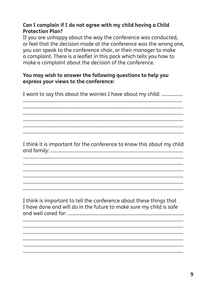# Can I complain if I do not garee with my child having a Child **Protection Plan?**

If you are unhappy about the way the conference was conducted. or feel that the decision made at the conference was the wrong one. you can speak to the conference chair, or their manager to make a complaint. There is a leaflet in this pack which tells you how to make a complaint about the decision of the conference.

## You may wish to answer the following questions to help you express your views to the conference:

I want to say this about the worries I have about my child: .................

I think it is important for the conference to know this about my child 

I think is important to tell the conference about these things that I have done and will do in the future to make sure my child is safe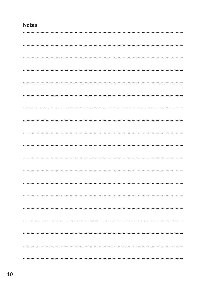# **Notes**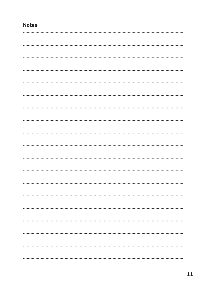# **Notes**